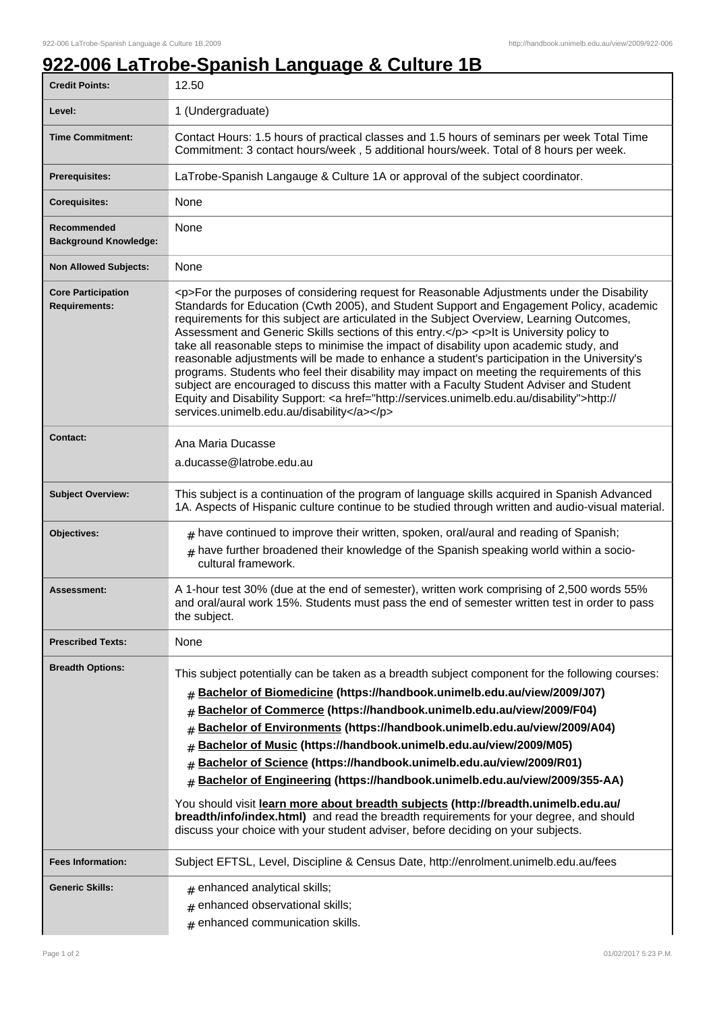## **922-006 LaTrobe-Spanish Language & Culture 1B**

| <b>Credit Points:</b>                             | 12.50                                                                                                                                                                                                                                                                                                                                                                                                                                                                                                                                                                                                                                                                                                                                                                                                                                                                                                                        |
|---------------------------------------------------|------------------------------------------------------------------------------------------------------------------------------------------------------------------------------------------------------------------------------------------------------------------------------------------------------------------------------------------------------------------------------------------------------------------------------------------------------------------------------------------------------------------------------------------------------------------------------------------------------------------------------------------------------------------------------------------------------------------------------------------------------------------------------------------------------------------------------------------------------------------------------------------------------------------------------|
| Level:                                            | 1 (Undergraduate)                                                                                                                                                                                                                                                                                                                                                                                                                                                                                                                                                                                                                                                                                                                                                                                                                                                                                                            |
| <b>Time Commitment:</b>                           | Contact Hours: 1.5 hours of practical classes and 1.5 hours of seminars per week Total Time<br>Commitment: 3 contact hours/week, 5 additional hours/week. Total of 8 hours per week.                                                                                                                                                                                                                                                                                                                                                                                                                                                                                                                                                                                                                                                                                                                                         |
| <b>Prerequisites:</b>                             | LaTrobe-Spanish Langauge & Culture 1A or approval of the subject coordinator.                                                                                                                                                                                                                                                                                                                                                                                                                                                                                                                                                                                                                                                                                                                                                                                                                                                |
| <b>Corequisites:</b>                              | None                                                                                                                                                                                                                                                                                                                                                                                                                                                                                                                                                                                                                                                                                                                                                                                                                                                                                                                         |
| Recommended<br><b>Background Knowledge:</b>       | None                                                                                                                                                                                                                                                                                                                                                                                                                                                                                                                                                                                                                                                                                                                                                                                                                                                                                                                         |
| <b>Non Allowed Subjects:</b>                      | None                                                                                                                                                                                                                                                                                                                                                                                                                                                                                                                                                                                                                                                                                                                                                                                                                                                                                                                         |
| <b>Core Participation</b><br><b>Requirements:</b> | <p>For the purposes of considering request for Reasonable Adjustments under the Disability<br/>Standards for Education (Cwth 2005), and Student Support and Engagement Policy, academic<br/>requirements for this subject are articulated in the Subject Overview, Learning Outcomes,<br/>Assessment and Generic Skills sections of this entry.</p> <p>lt is University policy to<br/>take all reasonable steps to minimise the impact of disability upon academic study, and<br/>reasonable adjustments will be made to enhance a student's participation in the University's<br/>programs. Students who feel their disability may impact on meeting the requirements of this<br/>subject are encouraged to discuss this matter with a Faculty Student Adviser and Student<br/>Equity and Disability Support: &lt; a href="http://services.unimelb.edu.au/disability"&gt;http://<br/>services.unimelb.edu.au/disability</p> |
| <b>Contact:</b>                                   | Ana Maria Ducasse<br>a.ducasse@latrobe.edu.au                                                                                                                                                                                                                                                                                                                                                                                                                                                                                                                                                                                                                                                                                                                                                                                                                                                                                |
| <b>Subject Overview:</b>                          | This subject is a continuation of the program of language skills acquired in Spanish Advanced<br>1A. Aspects of Hispanic culture continue to be studied through written and audio-visual material.                                                                                                                                                                                                                                                                                                                                                                                                                                                                                                                                                                                                                                                                                                                           |
| Objectives:                                       | $#$ have continued to improve their written, spoken, oral/aural and reading of Spanish;<br>$#$ have further broadened their knowledge of the Spanish speaking world within a socio-<br>cultural framework.                                                                                                                                                                                                                                                                                                                                                                                                                                                                                                                                                                                                                                                                                                                   |
| Assessment:                                       | A 1-hour test 30% (due at the end of semester), written work comprising of 2,500 words 55%<br>and oral/aural work 15%. Students must pass the end of semester written test in order to pass<br>the subject.                                                                                                                                                                                                                                                                                                                                                                                                                                                                                                                                                                                                                                                                                                                  |
| <b>Prescribed Texts:</b>                          | None                                                                                                                                                                                                                                                                                                                                                                                                                                                                                                                                                                                                                                                                                                                                                                                                                                                                                                                         |
| <b>Breadth Options:</b>                           | This subject potentially can be taken as a breadth subject component for the following courses:<br># Bachelor of Biomedicine (https://handbook.unimelb.edu.au/view/2009/J07)<br>Bachelor of Commerce (https://handbook.unimelb.edu.au/view/2009/F04)<br>#<br>Bachelor of Environments (https://handbook.unimelb.edu.au/view/2009/A04)<br>#<br>Bachelor of Music (https://handbook.unimelb.edu.au/view/2009/M05)<br>#<br>Bachelor of Science (https://handbook.unimelb.edu.au/view/2009/R01)<br>#<br>Bachelor of Engineering (https://handbook.unimelb.edu.au/view/2009/355-AA)<br>#<br>You should visit learn more about breadth subjects (http://breadth.unimelb.edu.au/<br>breadth/info/index.html) and read the breadth requirements for your degree, and should<br>discuss your choice with your student adviser, before deciding on your subjects.                                                                      |
| <b>Fees Information:</b>                          | Subject EFTSL, Level, Discipline & Census Date, http://enrolment.unimelb.edu.au/fees                                                                                                                                                                                                                                                                                                                                                                                                                                                                                                                                                                                                                                                                                                                                                                                                                                         |
| <b>Generic Skills:</b>                            | $#$ enhanced analytical skills;<br>enhanced observational skills;<br>#<br>$#$ enhanced communication skills.                                                                                                                                                                                                                                                                                                                                                                                                                                                                                                                                                                                                                                                                                                                                                                                                                 |